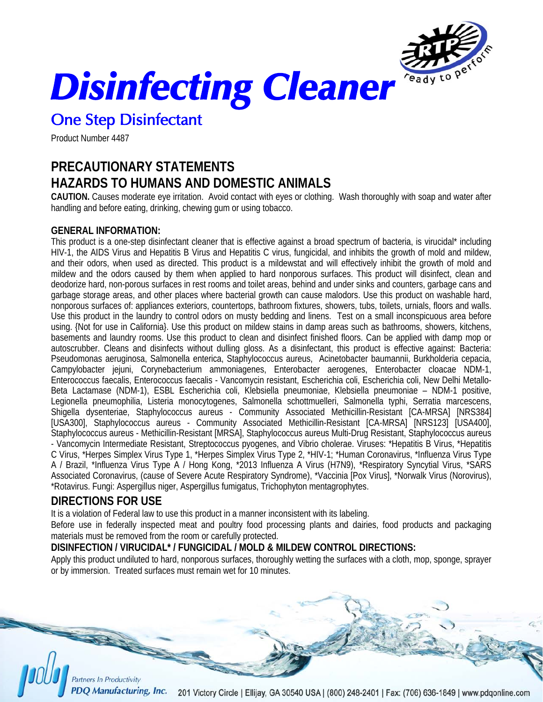

*Disinfecting Cleaner* 

# One Step Disinfectant

Product Number 4487

## **PRECAUTIONARY STATEMENTS HAZARDS TO HUMANS AND DOMESTIC ANIMALS**

**CAUTION.** Causes moderate eye irritation. Avoid contact with eyes or clothing. Wash thoroughly with soap and water after handling and before eating, drinking, chewing gum or using tobacco.

### **GENERAL INFORMATION:**

This product is a one-step disinfectant cleaner that is effective against a broad spectrum of bacteria, is virucidal\* including HIV-1, the AIDS Virus and Hepatitis B Virus and Hepatitis C virus, fungicidal, and inhibits the growth of mold and mildew, and their odors, when used as directed. This product is a mildewstat and will effectively inhibit the growth of mold and mildew and the odors caused by them when applied to hard nonporous surfaces. This product will disinfect, clean and deodorize hard, non-porous surfaces in rest rooms and toilet areas, behind and under sinks and counters, garbage cans and garbage storage areas, and other places where bacterial growth can cause malodors. Use this product on washable hard, nonporous surfaces of: appliances exteriors, countertops, bathroom fixtures, showers, tubs, toilets, urnials, floors and walls. Use this product in the laundry to control odors on musty bedding and linens. Test on a small inconspicuous area before using. {Not for use in California}. Use this product on mildew stains in damp areas such as bathrooms, showers, kitchens, basements and laundry rooms. Use this product to clean and disinfect finished floors. Can be applied with damp mop or autoscrubber. Cleans and disinfects without dulling gloss. As a disinfectant, this product is effective against: Bacteria: Pseudomonas aeruginosa, Salmonella enterica, Staphylococcus aureus, Acinetobacter baumannii, Burkholderia cepacia, Campylobacter jejuni, Corynebacterium ammoniagenes, Enterobacter aerogenes, Enterobacter cloacae NDM-1, Enterococcus faecalis, Enterococcus faecalis - Vancomycin resistant, Escherichia coli, Escherichia coli, New Delhi Metallo-Beta Lactamase (NDM-1), ESBL Escherichia coli, Klebsiella pneumoniae, Klebsiella pneumoniae – NDM-1 positive, Legionella pneumophilia, Listeria monocytogenes, Salmonella schottmuelleri, Salmonella typhi, Serratia marcescens, Shigella dysenteriae, Staphylococcus aureus - Community Associated Methicillin-Resistant [CA-MRSA] [NRS384] [USA300], Staphylococcus aureus - Community Associated Methicillin-Resistant [CA-MRSA] [NRS123] [USA400], Staphylococcus aureus - Methicillin-Resistant [MRSA], Staphylococcus aureus Multi-Drug Resistant, Staphylococcus aureus - Vancomycin Intermediate Resistant, Streptococcus pyogenes, and Vibrio cholerae. Viruses: \*Hepatitis B Virus, \*Hepatitis C Virus, \*Herpes Simplex Virus Type 1, \*Herpes Simplex Virus Type 2, \*HIV-1; \*Human Coronavirus, \*Influenza Virus Type A / Brazil, \*Influenza Virus Type A / Hong Kong, \*2013 Influenza A Virus (H7N9), \*Respiratory Syncytial Virus, \*SARS Associated Coronavirus, (cause of Severe Acute Respiratory Syndrome), \*Vaccinia [Pox Virus], \*Norwalk Virus (Norovirus), \*Rotavirus. Fungi: Aspergillus niger, Aspergillus fumigatus, Trichophyton mentagrophytes.

## **DIRECTIONS FOR USE**

It is a violation of Federal law to use this product in a manner inconsistent with its labeling.

Before use in federally inspected meat and poultry food processing plants and dairies, food products and packaging materials must be removed from the room or carefully protected.

### **DISINFECTION / VIRUCIDAL\* / FUNGICIDAL / MOLD & MILDEW CONTROL DIRECTIONS:**

Apply this product undiluted to hard, nonporous surfaces, thoroughly wetting the surfaces with a cloth, mop, sponge, sprayer or by immersion. Treated surfaces must remain wet for 10 minutes.

Partners In Productivity

**PDO Manufacturing, Inc.** 201 Victory Circle | Ellijay, GA 30540 USA | (800) 248-2401 | Fax: (706) 636-1849 | www.pdqonline.com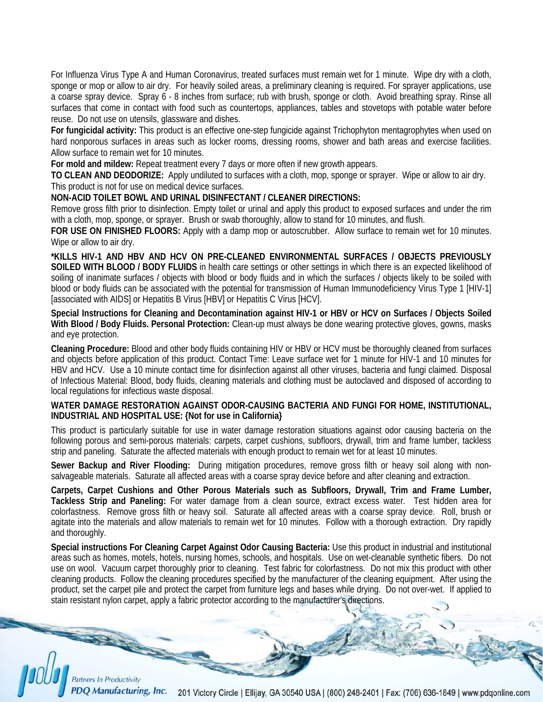For Influenza Virus Type A and Human Coronavirus, treated surfaces must remain wet for 1 minute. Wipe dry with a cloth, sponge or mop or allow to air dry. For heavily soiled areas, a preliminary cleaning is required. For sprayer applications, use a coarse spray device. Spray 6 - 8 inches from surface; rub with brush, sponge or cloth. Avoid breathing spray. Rinse all surfaces that come in contact with food such as countertops, appliances, tables and stovetops with potable water before reuse. Do not use on utensils, glassware and dishes.

**For fungicidal activity:** This product is an effective one-step fungicide against Trichophyton mentagrophytes when used on hard nonporous surfaces in areas such as locker rooms, dressing rooms, shower and bath areas and exercise facilities. Allow surface to remain wet for 10 minutes.

**For mold and mildew:** Repeat treatment every 7 days or more often if new growth appears.

**TO CLEAN AND DEODORIZE:** Apply undiluted to surfaces with a cloth, mop, sponge or sprayer. Wipe or allow to air dry. This product is not for use on medical device surfaces.

#### **NON-ACID TOILET BOWL AND URINAL DISINFECTANT / CLEANER DIRECTIONS:**

Remove gross filth prior to disinfection. Empty toilet or urinal and apply this product to exposed surfaces and under the rim with a cloth, mop, sponge, or sprayer. Brush or swab thoroughly, allow to stand for 10 minutes, and flush.

**FOR USE ON FINISHED FLOORS:** Apply with a damp mop or autoscrubber. Allow surface to remain wet for 10 minutes. Wipe or allow to air dry.

**\*KILLS HIV-1 AND HBV AND HCV ON PRE-CLEANED ENVIRONMENTAL SURFACES / OBJECTS PREVIOUSLY SOILED WITH BLOOD / BODY FLUIDS** in health care settings or other settings in which there is an expected likelihood of soiling of inanimate surfaces / objects with blood or body fluids and in which the surfaces / objects likely to be soiled with blood or body fluids can be associated with the potential for transmission of Human Immunodeficiency Virus Type 1 [HIV-1] [associated with AIDS] or Hepatitis B Virus [HBV] or Hepatitis C Virus [HCV].

**Special Instructions for Cleaning and Decontamination against HIV-1 or HBV or HCV on Surfaces / Objects Soiled With Blood / Body Fluids. Personal Protection:** Clean-up must always be done wearing protective gloves, gowns, masks and eye protection.

**Cleaning Procedure:** Blood and other body fluids containing HIV or HBV or HCV must be thoroughly cleaned from surfaces and objects before application of this product. Contact Time: Leave surface wet for 1 minute for HIV-1 and 10 minutes for HBV and HCV. Use a 10 minute contact time for disinfection against all other viruses, bacteria and fungi claimed. Disposal of Infectious Material: Blood, body fluids, cleaning materials and clothing must be autoclaved and disposed of according to local regulations for infectious waste disposal.

#### **WATER DAMAGE RESTORATION AGAINST ODOR-CAUSING BACTERIA AND FUNGI FOR HOME, INSTITUTIONAL, INDUSTRIAL AND HOSPITAL USE: {Not for use in California}**

This product is particularly suitable for use in water damage restoration situations against odor causing bacteria on the following porous and semi-porous materials: carpets, carpet cushions, subfloors, drywall, trim and frame lumber, tackless strip and paneling. Saturate the affected materials with enough product to remain wet for at least 10 minutes.

**Sewer Backup and River Flooding:** During mitigation procedures, remove gross filth or heavy soil along with nonsalvageable materials. Saturate all affected areas with a coarse spray device before and after cleaning and extraction.

**Carpets, Carpet Cushions and Other Porous Materials such as Subfloors, Drywall, Trim and Frame Lumber, Tackless Strip and Paneling:** For water damage from a clean source, extract excess water. Test hidden area for colorfastness. Remove gross filth or heavy soil. Saturate all affected areas with a coarse spray device. Roll, brush or agitate into the materials and allow materials to remain wet for 10 minutes. Follow with a thorough extraction. Dry rapidly and thoroughly.

**Special instructions For Cleaning Carpet Against Odor Causing Bacteria:** Use this product in industrial and institutional areas such as homes, motels, hotels, nursing homes, schools, and hospitals. Use on wet-cleanable synthetic fibers. Do not use on wool. Vacuum carpet thoroughly prior to cleaning. Test fabric for colorfastness. Do not mix this product with other cleaning products. Follow the cleaning procedures specified by the manufacturer of the cleaning equipment. After using the product, set the carpet pile and protect the carpet from furniture legs and bases while drying. Do not over-wet. If applied to stain resistant nylon carpet, apply a fabric protector according to the manufacturer's directions.

**Partners In Productivity** Manufacturing, Inc. 201 Victory Circle | Ellijay, GA 30540 USA | (800) 248-2401 | Fax: (706) 636-1849 | www.pdqonline.com